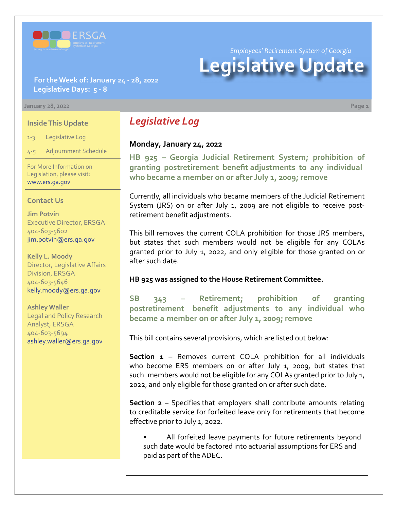

*Employees' Retirement System of Georgia*

# **Legislative Update**

**For the Week of: January 24 - 28, 2022 Legislative Days: 5 - 8**

#### **January 28, 2022 Page 1**

#### **Inside This Update**

1-3 Legislative Log

4-5 Adjournment Schedule

For More Information on Legislation, please visit: [www.ers.ga.gov](http://www.ers.ga.gov/default.aspx)

#### **Contact Us**

**Jim Potvin** Executive Director, ERSGA 404-603-5602 jim.potvin@ers.ga.gov

**Kelly L. Moody** Director, Legislative Affairs Division, ERSGA 404-603-5646 kelly.moody@ers.ga.gov

**Ashley Waller** Legal and Policy Research Analyst, ERSGA 404-603-5694 ashley.waller@ers.ga.gov

# *Legislative Log*

#### **Monday, January 24, 2022**

**[HB 925](https://www.legis.ga.gov/legislation/61161) – [Georgia Judicial Retirement System; prohibition of](https://www.legis.ga.gov/legislation/61161)  granting postretirement benefit adjustments to any individual who became a member on or after July 1, 2009; remove**

Currently, all individuals who became members of the Judicial Retirement System (JRS) on or after July 1, 2009 are not eligible to receive postretirement benefit adjustments.

This bill removes the current COLA prohibition for those JRS members, but states that such members would not be eligible for any COLAs granted prior to July 1, 2022, and only eligible for those granted on or after such date.

#### **HB 925 was assigned to the House Retirement Committee.**

**[SB 343 – Retirement; prohibition of granting](https://www.legis.ga.gov/legislation/61176)  postretirement benefit adjustments to any individual who became a member on or after July 1, 2009; remove**

This bill contains several provisions, which are listed out below:

**Section 1** – Removes current COLA prohibition for all individuals who become ERS members on or after July 1, 2009, but states that such members would not be eligible for any COLAs granted prior to July 1, 2022, and only eligible for those granted on or after such date.

**Section 2** – Specifies that employers shall contribute amounts relating to creditable service for forfeited leave only for retirements that become effective prior to July 1, 2022.

All forfeited leave payments for future retirements beyond such date would be factored into actuarial assumptions for ERS and paid as part of the ADEC.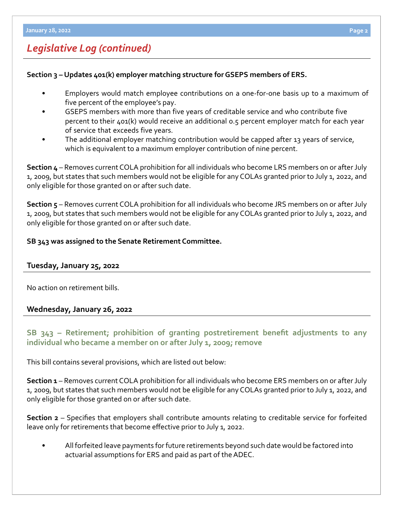# *Legislative Log (continued)*

### **Section 3 – Updates 401(k) employer matching structure for GSEPS members of ERS.**

- Employers would match employee contributions on a one-for-one basis up to a maximum of five percent of the employee's pay.
- GSEPS members with more than five years of creditable service and who contribute five percent to their 401(k) would receive an additional 0.5 percent employer match for each year of service that exceeds five years.
- The additional employer matching contribution would be capped after 13 years of service, which is equivalent to a maximum employer contribution of nine percent.

**Section 4** – Removes current COLA prohibition for all individuals who become LRS members on or after July 1, 2009, but states that such members would not be eligible for any COLAs granted prior to July 1, 2022, and only eligible for those granted on or after such date.

**Section 5** – Removes current COLA prohibition for all individuals who become JRS members on or after July 1, 2009, but states that such members would not be eligible for any COLAs granted prior to July 1, 2022, and only eligible for those granted on or after such date.

### **SB 343 was assigned to the Senate Retirement Committee.**

#### **Tuesday, January 25, 2022**

No action on retirement bills.

## **Wednesday, January 26, 2022**

# **[SB 343](https://www.legis.ga.gov/legislation/61176) – [Retirement; prohibition of granting postretirement benefit adjustments to any](https://www.legis.ga.gov/legislation/61176)  individual who became a member on or after July 1, 2009; remove**

This bill contains several provisions, which are listed out below:

**Section 1** – Removes current COLA prohibition for all individuals who become ERS members on or after July 1, 2009, but states that such members would not be eligible for any COLAs granted prior to July 1, 2022, and only eligible for those granted on or after such date.

**Section 2** – Specifies that employers shall contribute amounts relating to creditable service for forfeited leave only for retirements that become effective prior to July 1, 2022.

• All forfeited leave payments for future retirements beyond such date would be factored into actuarial assumptions for ERS and paid as part of the ADEC.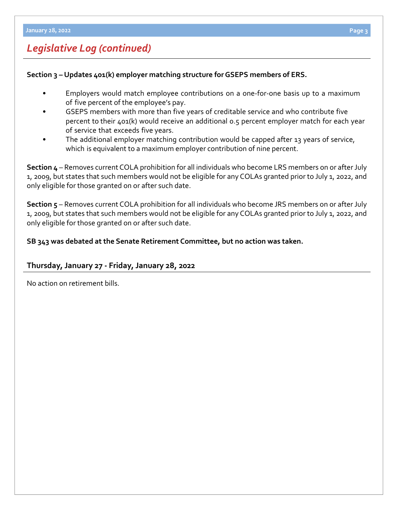# *Legislative Log (continued)*

### **Section 3 – Updates 401(k) employer matching structure for GSEPS members of ERS.**

- Employers would match employee contributions on a one-for-one basis up to a maximum of five percent of the employee's pay.
- GSEPS members with more than five years of creditable service and who contribute five percent to their 401(k) would receive an additional 0.5 percent employer match for each year of service that exceeds five years.
- The additional employer matching contribution would be capped after 13 years of service, which is equivalent to a maximum employer contribution of nine percent.

**Section 4** – Removes current COLA prohibition for all individuals who become LRS members on or after July 1, 2009, but states that such members would not be eligible for any COLAs granted prior to July 1, 2022, and only eligible for those granted on or after such date.

**Section 5** – Removes current COLA prohibition for all individuals who become JRS members on or after July 1, 2009, but states that such members would not be eligible for any COLAs granted prior to July 1, 2022, and only eligible for those granted on or after such date.

### **SB 343 was debated at the Senate Retirement Committee, but no action was taken.**

## **Thursday, January 27 - Friday, January 28, 2022**

No action on retirement bills.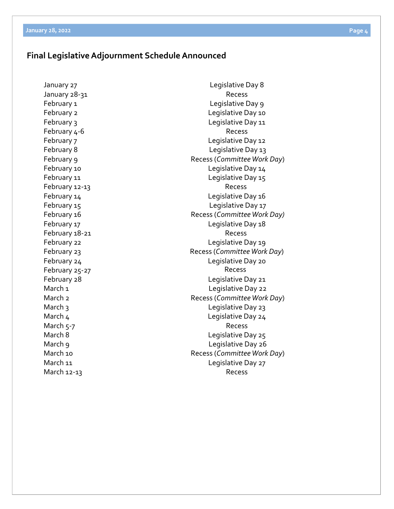## **Final Legislative Adjournment Schedule Announced**

January 27 January 28-31 February 1 February 2 February 3 February 4-6 February 7 February 8 February 9 February 10 February 11 February 14 February 15 February 16 February 17 February 22 February 23 February 24 February 28 March<sub>1</sub> March 2 March 3 March 4 March 5-7 March 8 March 9 March 10 March 11 March 12-13

Legislative Day 8 Recess Legislative Day 9 Legislative Day 10 Legislative Day 11 Recess Legislative Day 12 Legislative Day 13 Recess (*Committee Work Day*) Legislative Day 14 Legislative Day 15 February 12-13 and the contract of the Recess Legislative Day 16 Legislative Day 17 Recess (*Committee Work Day)* Legislative Day 18 February 18-21 and the contract of the Recess Legislative Day 19 Recess (*Committee Work Day*) Legislative Day 20 February 25-27 and the contract of the Recess Legislative Day 21 Legislative Day 22 Recess (*Committee Work Day*) Legislative Day 23 Legislative Day 24 Recess Legislative Day 25 Legislative Day 26 Recess (*Committee Work Day*) Legislative Day 27 Recess